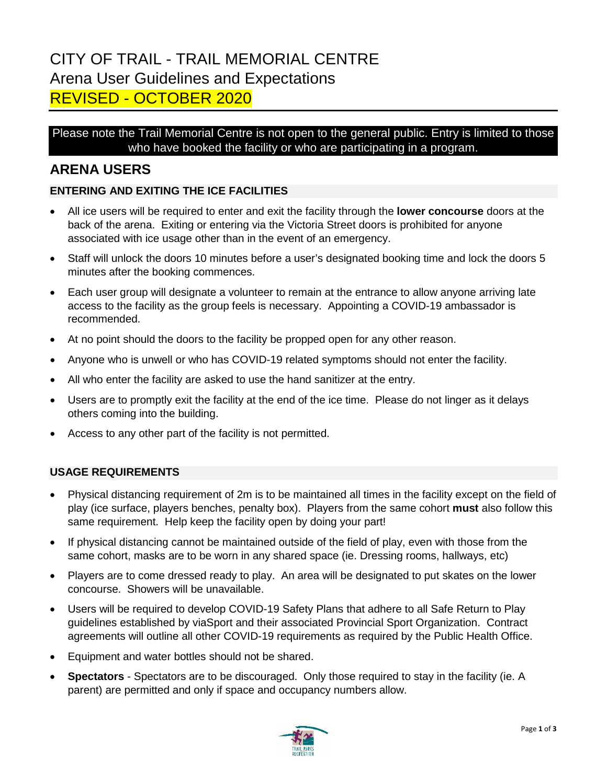# CITY OF TRAIL - TRAIL MEMORIAL CENTRE Arena User Guidelines and Expectations REVISED - OCTOBER 2020

Please note the Trail Memorial Centre is not open to the general public. Entry is limited to those who have booked the facility or who are participating in a program.

## **ARENA USERS**

### **ENTERING AND EXITING THE ICE FACILITIES**

- All ice users will be required to enter and exit the facility through the **lower concourse** doors at the back of the arena. Exiting or entering via the Victoria Street doors is prohibited for anyone associated with ice usage other than in the event of an emergency.
- Staff will unlock the doors 10 minutes before a user's designated booking time and lock the doors 5 minutes after the booking commences.
- Each user group will designate a volunteer to remain at the entrance to allow anyone arriving late access to the facility as the group feels is necessary. Appointing a COVID-19 ambassador is recommended.
- At no point should the doors to the facility be propped open for any other reason.
- Anyone who is unwell or who has COVID-19 related symptoms should not enter the facility.
- All who enter the facility are asked to use the hand sanitizer at the entry.
- Users are to promptly exit the facility at the end of the ice time. Please do not linger as it delays others coming into the building.
- Access to any other part of the facility is not permitted.

### **USAGE REQUIREMENTS**

- Physical distancing requirement of 2m is to be maintained all times in the facility except on the field of play (ice surface, players benches, penalty box). Players from the same cohort **must** also follow this same requirement. Help keep the facility open by doing your part!
- If physical distancing cannot be maintained outside of the field of play, even with those from the same cohort, masks are to be worn in any shared space (ie. Dressing rooms, hallways, etc)
- Players are to come dressed ready to play. An area will be designated to put skates on the lower concourse. Showers will be unavailable.
- Users will be required to develop COVID-19 Safety Plans that adhere to all Safe Return to Play guidelines established by viaSport and their associated Provincial Sport Organization. Contract agreements will outline all other COVID-19 requirements as required by the Public Health Office.
- Equipment and water bottles should not be shared.
- **Spectators** Spectators are to be discouraged. Only those required to stay in the facility (ie. A parent) are permitted and only if space and occupancy numbers allow.

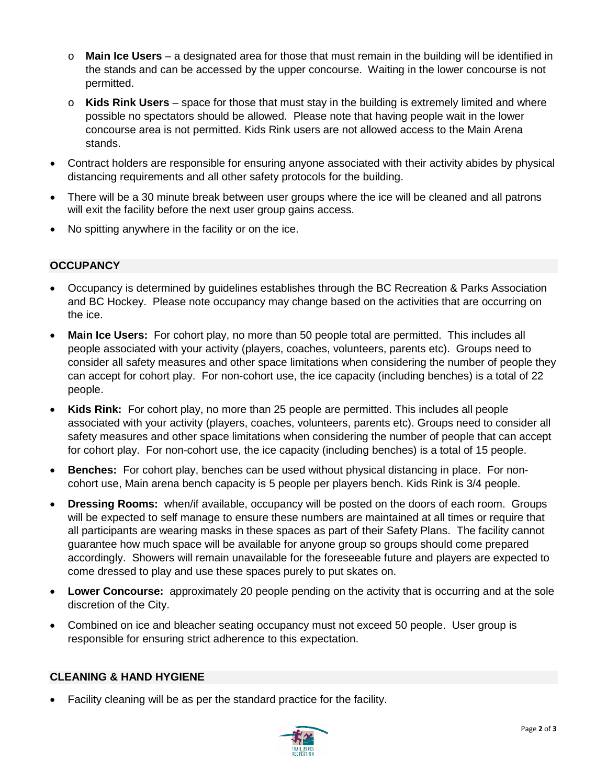- o **Main Ice Users** a designated area for those that must remain in the building will be identified in the stands and can be accessed by the upper concourse. Waiting in the lower concourse is not permitted.
- o **Kids Rink Users** space for those that must stay in the building is extremely limited and where possible no spectators should be allowed. Please note that having people wait in the lower concourse area is not permitted. Kids Rink users are not allowed access to the Main Arena stands.
- Contract holders are responsible for ensuring anyone associated with their activity abides by physical distancing requirements and all other safety protocols for the building.
- There will be a 30 minute break between user groups where the ice will be cleaned and all patrons will exit the facility before the next user group gains access.
- No spitting anywhere in the facility or on the ice.

#### **OCCUPANCY**

- Occupancy is determined by guidelines establishes through the BC Recreation & Parks Association and BC Hockey. Please note occupancy may change based on the activities that are occurring on the ice.
- **Main Ice Users:** For cohort play, no more than 50 people total are permitted. This includes all people associated with your activity (players, coaches, volunteers, parents etc). Groups need to consider all safety measures and other space limitations when considering the number of people they can accept for cohort play. For non-cohort use, the ice capacity (including benches) is a total of 22 people.
- **Kids Rink:** For cohort play, no more than 25 people are permitted. This includes all people associated with your activity (players, coaches, volunteers, parents etc). Groups need to consider all safety measures and other space limitations when considering the number of people that can accept for cohort play. For non-cohort use, the ice capacity (including benches) is a total of 15 people.
- **Benches:** For cohort play, benches can be used without physical distancing in place. For noncohort use, Main arena bench capacity is 5 people per players bench. Kids Rink is 3/4 people.
- **Dressing Rooms:** when/if available, occupancy will be posted on the doors of each room. Groups will be expected to self manage to ensure these numbers are maintained at all times or require that all participants are wearing masks in these spaces as part of their Safety Plans. The facility cannot guarantee how much space will be available for anyone group so groups should come prepared accordingly. Showers will remain unavailable for the foreseeable future and players are expected to come dressed to play and use these spaces purely to put skates on.
- **Lower Concourse:** approximately 20 people pending on the activity that is occurring and at the sole discretion of the City.
- Combined on ice and bleacher seating occupancy must not exceed 50 people. User group is responsible for ensuring strict adherence to this expectation.

#### **CLEANING & HAND HYGIENE**

• Facility cleaning will be as per the standard practice for the facility.